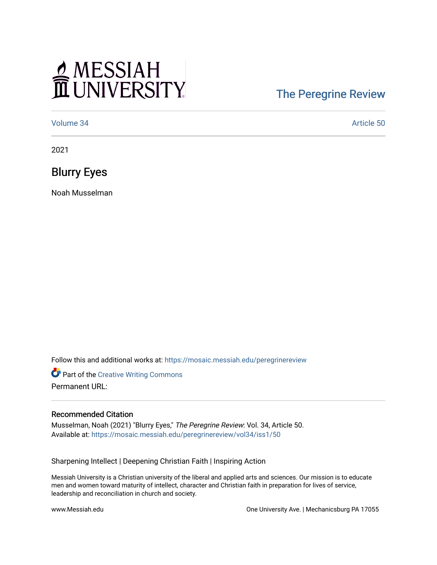## MESSIAH

## [The Peregrine Review](https://mosaic.messiah.edu/peregrinereview)

[Volume 34](https://mosaic.messiah.edu/peregrinereview/vol34) Article 50

2021

Blurry Eyes

Noah Musselman

Follow this and additional works at: [https://mosaic.messiah.edu/peregrinereview](https://mosaic.messiah.edu/peregrinereview?utm_source=mosaic.messiah.edu%2Fperegrinereview%2Fvol34%2Fiss1%2F50&utm_medium=PDF&utm_campaign=PDFCoverPages) 

Part of the [Creative Writing Commons](http://network.bepress.com/hgg/discipline/574?utm_source=mosaic.messiah.edu%2Fperegrinereview%2Fvol34%2Fiss1%2F50&utm_medium=PDF&utm_campaign=PDFCoverPages)  Permanent URL:

## Recommended Citation

Musselman, Noah (2021) "Blurry Eyes," The Peregrine Review: Vol. 34, Article 50. Available at: [https://mosaic.messiah.edu/peregrinereview/vol34/iss1/50](https://mosaic.messiah.edu/peregrinereview/vol34/iss1/50?utm_source=mosaic.messiah.edu%2Fperegrinereview%2Fvol34%2Fiss1%2F50&utm_medium=PDF&utm_campaign=PDFCoverPages)

Sharpening Intellect | Deepening Christian Faith | Inspiring Action

Messiah University is a Christian university of the liberal and applied arts and sciences. Our mission is to educate men and women toward maturity of intellect, character and Christian faith in preparation for lives of service, leadership and reconciliation in church and society.

www.Messiah.edu **One University Ave. | Mechanicsburg PA 17055**